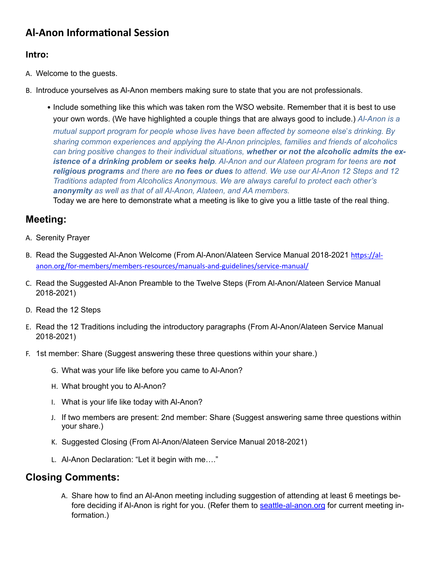# **Al-Anon Informational Session**

### **Intro:**

A. Welcome to the guests.

- B. Introduce yourselves as Al-Anon members making sure to state that you are not professionals.
	- Include something like this which was taken rom the WSO website. Remember that it is best to use your own words. (We have highlighted a couple things that are always good to include.) *Al*‑*Anon is a mutual support program for people whose lives have been affected by someone else*'*s drinking. By sharing common experiences and applying the Al-Anon principles, families and friends of alcoholics can bring positive changes to their individual situations, whether or not the alcoholic admits the existence of a drinking problem or seeks help. Al-Anon and our Alateen program for teens are not religious programs and there are no fees or dues to attend. We use our Al-Anon 12 Steps and 12 Traditions adapted from Alcoholics Anonymous. We are always careful to protect each other's anonymity as well as that of all Al-Anon, Alateen, and AA members.*

Today we are here to demonstrate what a meeting is like to give you a little taste of the real thing.

## **Meeting:**

- A. Serenity Prayer
- B. Read the Suggested Al-Anon Welcome (From Al-Anon/Alateen Service Manual 2018-2021 https://al[anon.org/for-members/members-resources/manuals-and-guidelines/service-manual/](https://al-anon.org/for-members/members-resources/manuals-and-guidelines/service-manual/)
- C. Read the Suggested Al-Anon Preamble to the Twelve Steps (From Al-Anon/Alateen Service Manual 2018-2021)
- D. Read the 12 Steps
- E. Read the 12 Traditions including the introductory paragraphs (From Al-Anon/Alateen Service Manual 2018-2021)
- F. 1st member: Share (Suggest answering these three questions within your share.)
	- G. What was your life like before you came to Al-Anon?
	- H. What brought you to Al-Anon?
	- I. What is your life like today with Al-Anon?
	- J. If two members are present: 2nd member: Share (Suggest answering same three questions within your share.)
	- K. Suggested Closing (From Al-Anon/Alateen Service Manual 2018-2021)
	- L. Al-Anon Declaration: "Let it begin with me…."

### **Closing Comments:**

A. Share how to find an Al-Anon meeting including suggestion of attending at least 6 meetings before deciding if Al-Anon is right for you. (Refer them to [seattle-al-anon.org](http://seattle-al-anon.org) for current meeting information.)